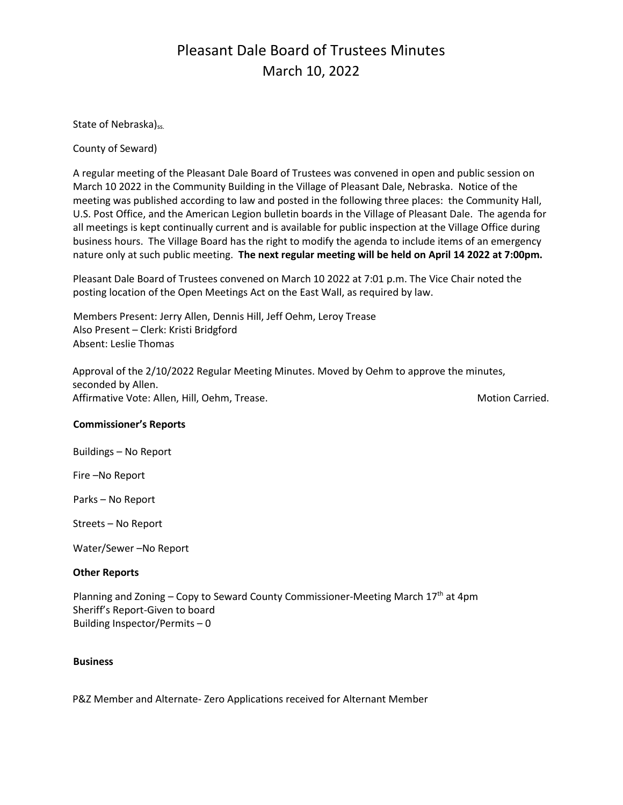# Pleasant Dale Board of Trustees Minutes March 10, 2022

State of Nebraska)<sub>ss.</sub>

County of Seward)

A regular meeting of the Pleasant Dale Board of Trustees was convened in open and public session on March 10 2022 in the Community Building in the Village of Pleasant Dale, Nebraska. Notice of the meeting was published according to law and posted in the following three places: the Community Hall, U.S. Post Office, and the American Legion bulletin boards in the Village of Pleasant Dale. The agenda for all meetings is kept continually current and is available for public inspection at the Village Office during business hours. The Village Board has the right to modify the agenda to include items of an emergency nature only at such public meeting. **The next regular meeting will be held on April 14 2022 at 7:00pm.** 

Pleasant Dale Board of Trustees convened on March 10 2022 at 7:01 p.m. The Vice Chair noted the posting location of the Open Meetings Act on the East Wall, as required by law.

Members Present: Jerry Allen, Dennis Hill, Jeff Oehm, Leroy Trease Also Present – Clerk: Kristi Bridgford Absent: Leslie Thomas

Approval of the 2/10/2022 Regular Meeting Minutes. Moved by Oehm to approve the minutes, seconded by Allen. Affirmative Vote: Allen, Hill, Oehm, Trease. Motion Carried. Motion Carried.

#### **Commissioner's Reports**

Buildings – No Report

Fire –No Report

Parks – No Report

Streets – No Report

Water/Sewer –No Report

#### **Other Reports**

Planning and Zoning – Copy to Seward County Commissioner-Meeting March 17<sup>th</sup> at 4pm Sheriff's Report-Given to board Building Inspector/Permits – 0

#### **Business**

P&Z Member and Alternate- Zero Applications received for Alternant Member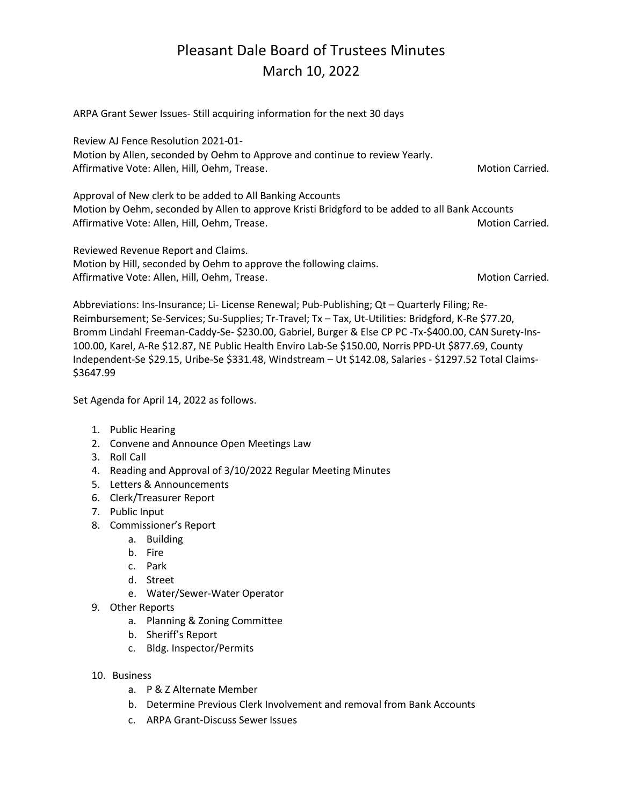### Pleasant Dale Board of Trustees Minutes March 10, 2022

ARPA Grant Sewer Issues- Still acquiring information for the next 30 days Review AJ Fence Resolution 2021-01- Motion by Allen, seconded by Oehm to Approve and continue to review Yearly. Affirmative Vote: Allen, Hill, Oehm, Trease. Motion Carried. Motion Carried. Approval of New clerk to be added to All Banking Accounts Motion by Oehm, seconded by Allen to approve Kristi Bridgford to be added to all Bank Accounts Affirmative Vote: Allen, Hill, Oehm, Trease. Motion Carried. Motion Carried. Reviewed Revenue Report and Claims. Motion by Hill, seconded by Oehm to approve the following claims. Affirmative Vote: Allen, Hill, Oehm, Trease. Motion Carried. Motion Carried.

Abbreviations: Ins-Insurance; Li- License Renewal; Pub-Publishing; Qt – Quarterly Filing; Re-Reimbursement; Se-Services; Su-Supplies; Tr-Travel; Tx – Tax, Ut-Utilities: Bridgford, K-Re \$77.20, Bromm Lindahl Freeman-Caddy-Se- \$230.00, Gabriel, Burger & Else CP PC -Tx-\$400.00, CAN Surety-Ins-100.00, Karel, A-Re \$12.87, NE Public Health Enviro Lab-Se \$150.00, Norris PPD-Ut \$877.69, County Independent-Se \$29.15, Uribe-Se \$331.48, Windstream – Ut \$142.08, Salaries - \$1297.52 Total Claims- \$3647.99

Set Agenda for April 14, 2022 as follows.

- 1. Public Hearing
- 2. Convene and Announce Open Meetings Law
- 3. Roll Call
- 4. Reading and Approval of 3/10/2022 Regular Meeting Minutes
- 5. Letters & Announcements
- 6. Clerk/Treasurer Report
- 7. Public Input
- 8. Commissioner's Report
	- a. Building
	- b. Fire
	- c. Park
	- d. Street
	- e. Water/Sewer-Water Operator
- 9. Other Reports
	- a. Planning & Zoning Committee
	- b. Sheriff's Report
	- c. Bldg. Inspector/Permits
- 10. Business
	- a. P & Z Alternate Member
	- b. Determine Previous Clerk Involvement and removal from Bank Accounts
	- c. ARPA Grant-Discuss Sewer Issues